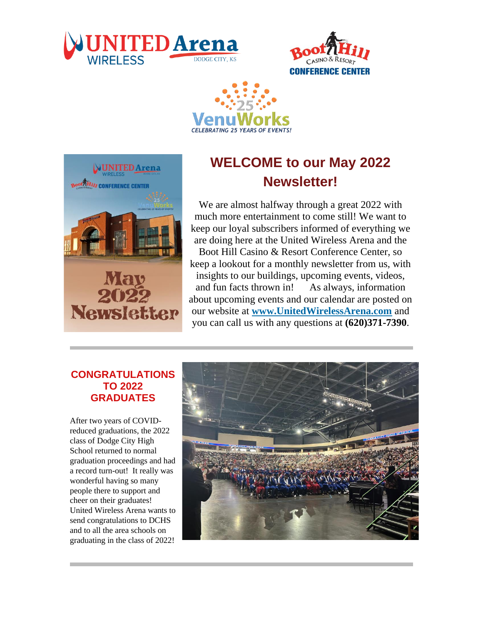







## **WELCOME to our May 2022 Newsletter!**

We are almost halfway through a great 2022 with much more entertainment to come still! We want to keep our loyal subscribers informed of everything we are doing here at the United Wireless Arena and the Boot Hill Casino & Resort Conference Center, so keep a lookout for a monthly newsletter from us, with insights to our buildings, upcoming events, videos, and fun facts thrown in! As always, information about upcoming events and our calendar are posted on our website at **[www.UnitedWirelessArena.com](http://links.engage.ticketmaster.com/els/v2/Wa0_H9~WbwHV/VUVzdUNiM1hiRVVIcUg3RGkyN1RPb0xxdkYxcEUxclBaK2hUbkZyL2l0UkpCd1hNb0VmMngyQVlNZ1B3V3BWK3NGOXNyTGpVaDc4UWI5QTdubzV0MndxQnFtdnY3ZlAyQXhKYm10eWI3M2c9S0/)** and you can call us with any questions at **(620)371-7390**.

### **CONGRATULATIONS TO 2022 GRADUATES**

After two years of COVIDreduced graduations, the 2022 class of Dodge City High School returned to normal graduation proceedings and had a record turn-out! It really was wonderful having so many people there to support and cheer on their graduates! United Wireless Arena wants to send congratulations to DCHS and to all the area schools on graduating in the class of 2022!

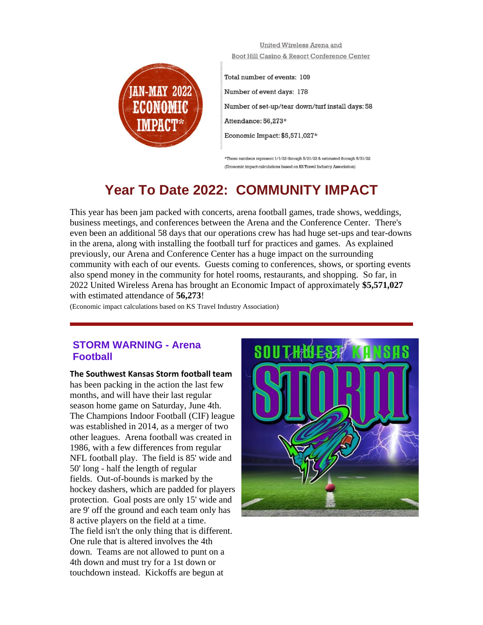

United Wireless Arena and Boot Hill Casino & Resort Conference Center

Total number of events: 109 Number of event days: 178 Number of set-up/tear down/turf install days: 58 Attendance: 56,273\* Economic Impact: \$5,571,027\*

\*These numbers represent 1/1/22 through 6/21/22 & estimated through 6/31/22 (Economic impact calculations based on KS Travel Industry Association)

## **Year To Date 2022: COMMUNITY IMPACT**

This year has been jam packed with concerts, arena football games, trade shows, weddings, business meetings, and conferences between the Arena and the Conference Center. There's even been an additional 58 days that our operations crew has had huge set-ups and tear-downs in the arena, along with installing the football turf for practices and games. As explained previously, our Arena and Conference Center has a huge impact on the surrounding community with each of our events. Guests coming to conferences, shows, or sporting events also spend money in the community for hotel rooms, restaurants, and shopping. So far, in 2022 United Wireless Arena has brought an Economic Impact of approximately **\$5,571,027** with estimated attendance of **56,273**!

(Economic impact calculations based on KS Travel Industry Association)

#### **STORM WARNING - Arena Football**

**The Southwest Kansas Storm football team** 

has been packing in the action the last few months, and will have their last regular season home game on Saturday, June 4th. The Champions Indoor Football (CIF) league was established in 2014, as a merger of two other leagues. Arena football was created in 1986, with a few differences from regular NFL football play. The field is 85' wide and 50' long - half the length of regular fields. Out-of-bounds is marked by the hockey dashers, which are padded for players protection. Goal posts are only 15' wide and are 9' off the ground and each team only has 8 active players on the field at a time. The field isn't the only thing that is different. One rule that is altered involves the 4th down. Teams are not allowed to punt on a 4th down and must try for a 1st down or touchdown instead. Kickoffs are begun at

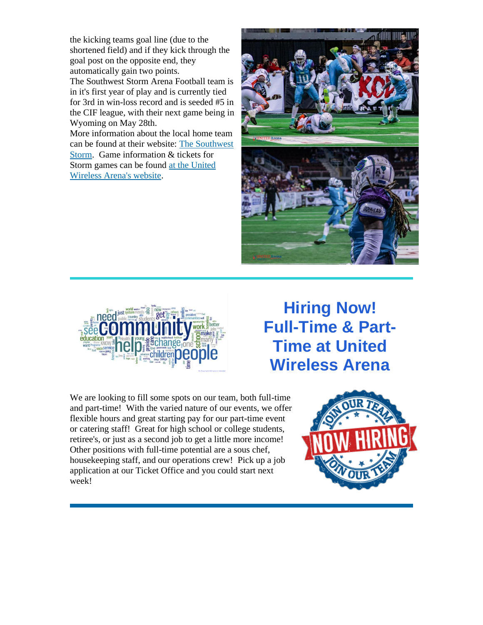the kicking teams goal line (due to the shortened field) and if they kick through the goal post on the opposite end, they automatically gain two points. The Southwest Storm Arena Football team is in it's first year of play and is currently tied for 3rd in win-loss record and is seeded #5 in the CIF league, with their next game being in Wyoming on May 28th. More information about the local home team can be found at their website: [The Southwest](http://links.engage.ticketmaster.com/els/v2/vNdPfbArx3Tk/VUVzdUNiM1hiRVVIcUg3RGkyN1RPb0xxdkYxcEUxclBaK2hUbkZyL2l0UkpCd1hNb0VmMngyQVlNZ1B3V3BWK3NGOXNyTGpVaDc4UWI5QTdubzV0MndxQnFtdnY3ZlAyQXhKYm10eWI3M2c9S0/)  [Storm.](http://links.engage.ticketmaster.com/els/v2/vNdPfbArx3Tk/VUVzdUNiM1hiRVVIcUg3RGkyN1RPb0xxdkYxcEUxclBaK2hUbkZyL2l0UkpCd1hNb0VmMngyQVlNZ1B3V3BWK3NGOXNyTGpVaDc4UWI5QTdubzV0MndxQnFtdnY3ZlAyQXhKYm10eWI3M2c9S0/) Game information & tickets for

Storm games can be found [at the United](http://links.engage.ticketmaster.com/els/v2/VXZ_f_WmxjCm/VUVzdUNiM1hiRVVIcUg3RGkyN1RPb0xxdkYxcEUxclBaK2hUbkZyL2l0UkpCd1hNb0VmMngyQVlNZ1B3V3BWK3NGOXNyTGpVaDc4UWI5QTdubzV0MndxQnFtdnY3ZlAyQXhKYm10eWI3M2c9S0/) 

[Wireless Arena's website.](http://links.engage.ticketmaster.com/els/v2/VXZ_f_WmxjCm/VUVzdUNiM1hiRVVIcUg3RGkyN1RPb0xxdkYxcEUxclBaK2hUbkZyL2l0UkpCd1hNb0VmMngyQVlNZ1B3V3BWK3NGOXNyTGpVaDc4UWI5QTdubzV0MndxQnFtdnY3ZlAyQXhKYm10eWI3M2c9S0/)





**Hiring Now! Full-Time & Part-Time at United Wireless Arena**

We are looking to fill some spots on our team, both full-time and part-time! With the varied nature of our events, we offer flexible hours and great starting pay for our part-time event or catering staff! Great for high school or college students, retiree's, or just as a second job to get a little more income! Other positions with full-time potential are a sous chef, housekeeping staff, and our operations crew! Pick up a job application at our Ticket Office and you could start next week!

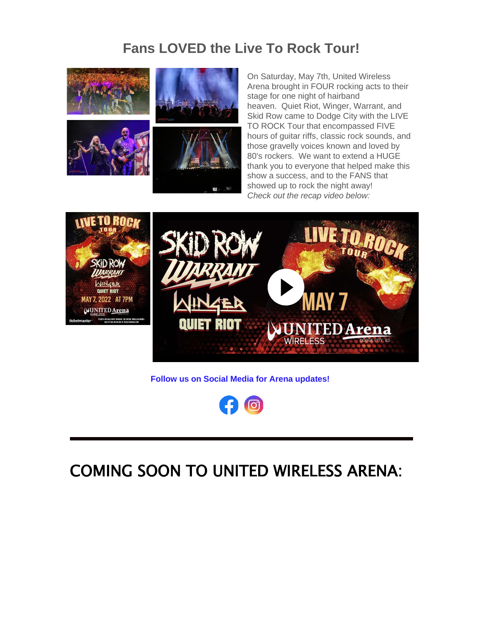## **Fans LOVED the Live To Rock Tour!**



On Saturday, May 7th, United Wireless Arena brought in FOUR rocking acts to their stage for one night of hairband heaven. Quiet Riot, Winger, Warrant, and Skid Row came to Dodge City with the LIVE TO ROCK Tour that encompassed FIVE hours of guitar riffs, classic rock sounds, and those gravelly voices known and loved by 80's rockers. We want to extend a HUGE thank you to everyone that helped make this show a success, and to the FANS that showed up to rock the night away! *Check out the recap video below:*



**Follow us on Social Media for Arena updates!**



# COMING SOON TO UNITED WIRELESS ARENA: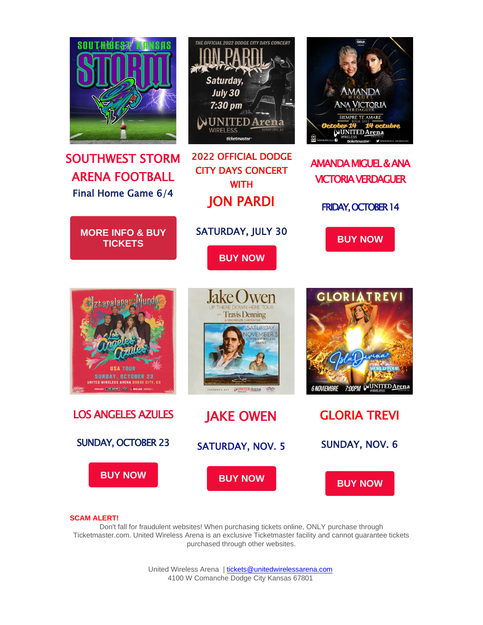

#### **SCAM ALERT!**

Don't fall for fraudulent websites! When purchasing tickets online, ONLY purchase through Ticketmaster.com. United Wireless Arena is an exclusive Ticketmaster facility and cannot guarantee tickets purchased through other websites.

> United Wireless Arena [| tickets@unitedwirelessarena.com](mailto:tickets@unitedwirelessarena.com) 4100 W Comanche Dodge City Kansas 67801